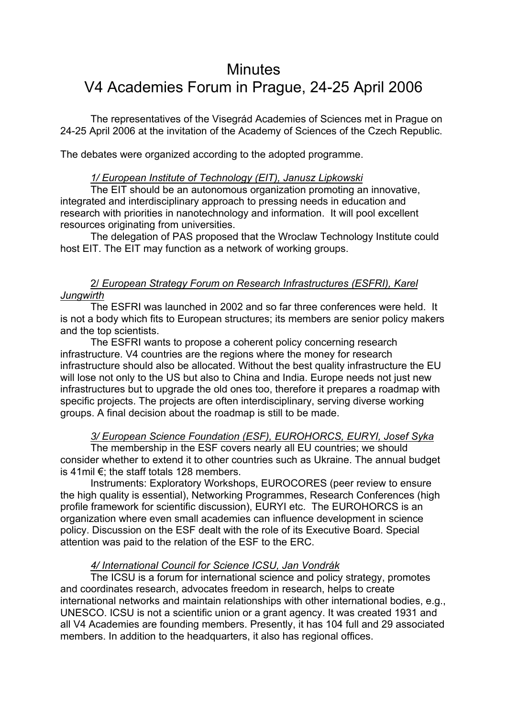# **Minutes** V4 Academies Forum in Prague, 24-25 April 2006

 The representatives of the Visegrád Academies of Sciences met in Prague on 24-25 April 2006 at the invitation of the Academy of Sciences of the Czech Republic.

The debates were organized according to the adopted programme.

#### *1/ European Institute of Technology (EIT), Janusz Lipkowski*

 The EIT should be an autonomous organization promoting an innovative, integrated and interdisciplinary approach to pressing needs in education and research with priorities in nanotechnology and information. It will pool excellent resources originating from universities.

The delegation of PAS proposed that the Wroclaw Technology Institute could host EIT. The EIT may function as a network of working groups.

# 2/ *European Strategy Forum on Research Infrastructures (ESFRI), Karel Jungwirth*

The ESFRI was launched in 2002 and so far three conferences were held. It is not a body which fits to European structures; its members are senior policy makers and the top scientists.

The ESFRI wants to propose a coherent policy concerning research infrastructure. V4 countries are the regions where the money for research infrastructure should also be allocated. Without the best quality infrastructure the EU will lose not only to the US but also to China and India. Europe needs not just new infrastructures but to upgrade the old ones too, therefore it prepares a roadmap with specific projects. The projects are often interdisciplinary, serving diverse working groups. A final decision about the roadmap is still to be made.

# *3/ European Science Foundation (ESF), EUROHORCS, EURYI, Josef Syka*

The membership in the ESF covers nearly all EU countries; we should consider whether to extend it to other countries such as Ukraine. The annual budget is 41mil €; the staff totals 128 members.

Instruments: Exploratory Workshops, EUROCORES (peer review to ensure the high quality is essential), Networking Programmes, Research Conferences (high profile framework for scientific discussion), EURYI etc. The EUROHORCS is an organization where even small academies can influence development in science policy. Discussion on the ESF dealt with the role of its Executive Board. Special attention was paid to the relation of the ESF to the ERC.

## *4/ International Council for Science ICSU, Jan Vondrák*

The ICSU is a forum for international science and policy strategy, promotes and coordinates research, advocates freedom in research, helps to create international networks and maintain relationships with other international bodies, e.g., UNESCO. ICSU is not a scientific union or a grant agency. It was created 1931 and all V4 Academies are founding members. Presently, it has 104 full and 29 associated members. In addition to the headquarters, it also has regional offices.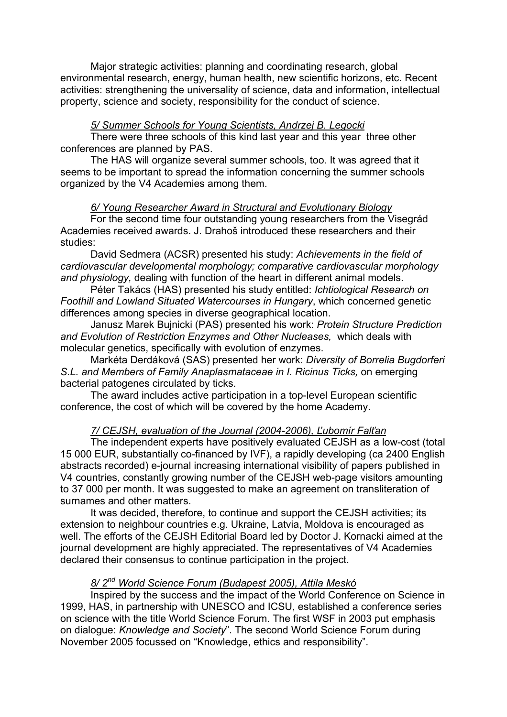Major strategic activities: planning and coordinating research, global environmental research, energy, human health, new scientific horizons, etc. Recent activities: strengthening the universality of science, data and information, intellectual property, science and society, responsibility for the conduct of science.

## *5/ Summer Schools for Young Scientists, Andrzej B. Legocki*

There were three schools of this kind last year and this year three other conferences are planned by PAS.

 The HAS will organize several summer schools, too. It was agreed that it seems to be important to spread the information concerning the summer schools organized by the V4 Academies among them.

## *6/ Young Researcher Award in Structural and Evolutionary Biology*

For the second time four outstanding young researchers from the Visegrád Academies received awards. J. Drahoš introduced these researchers and their studies:

 David Sedmera (ACSR) presented his study: *Achievements in the field of cardiovascular developmental morphology; comparative cardiovascular morphology and physiology,* dealing with function of the heart in different animal models.

 Péter Takács (HAS) presented his study entitled: *Ichtiological Research on Foothill and Lowland Situated Watercourses in Hungary*, which concerned genetic differences among species in diverse geographical location.

 Janusz Marek Bujnicki (PAS) presented his work: *Protein Structure Prediction and Evolution of Restriction Enzymes and Other Nucleases,* which deals with molecular genetics, specifically with evolution of enzymes.

Markéta Derdáková (SAS) presented her work: *Diversity of Borrelia Bugdorferi S.L. and Members of Family Anaplasmataceae in I. Ricinus Ticks,* on emerging bacterial patogenes circulated by ticks.

 The award includes active participation in a top-level European scientific conference, the cost of which will be covered by the home Academy.

# *7/ CEJSH, evaluation of the Journal (2004-2006), Ľubomír Falťan*

The independent experts have positively evaluated CEJSH as a low-cost (total 15 000 EUR, substantially co-financed by IVF), a rapidly developing (ca 2400 English abstracts recorded) e-journal increasing international visibility of papers published in V4 countries, constantly growing number of the CEJSH web-page visitors amounting to 37 000 per month. It was suggested to make an agreement on transliteration of surnames and other matters.

It was decided, therefore, to continue and support the CEJSH activities; its extension to neighbour countries e.g. Ukraine, Latvia, Moldova is encouraged as well. The efforts of the CEJSH Editorial Board led by Doctor J. Kornacki aimed at the journal development are highly appreciated. The representatives of V4 Academies declared their consensus to continue participation in the project.

# *8/ 2nd World Science Forum (Budapest 2005), Attila Meskó*

Inspired by the success and the impact of the World Conference on Science in 1999, HAS, in partnership with UNESCO and ICSU, established a conference series on science with the title World Science Forum. The first WSF in 2003 put emphasis on dialogue: *Knowledge and Society*". The second World Science Forum during November 2005 focussed on "Knowledge, ethics and responsibility".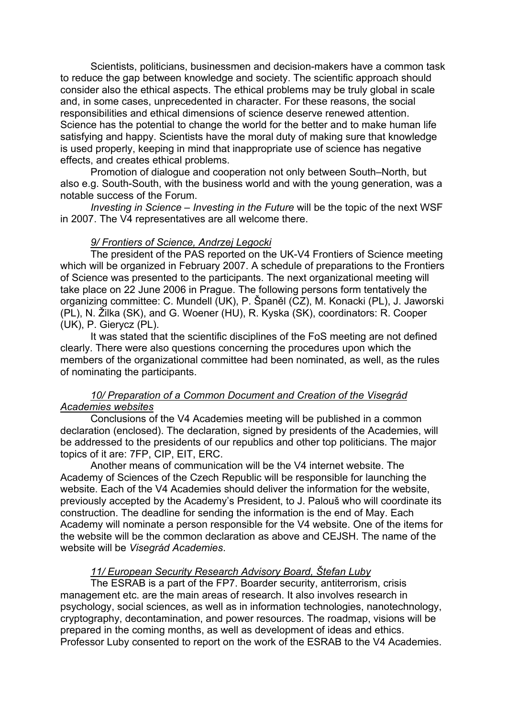Scientists, politicians, businessmen and decision-makers have a common task to reduce the gap between knowledge and society. The scientific approach should consider also the ethical aspects. The ethical problems may be truly global in scale and, in some cases, unprecedented in character. For these reasons, the social responsibilities and ethical dimensions of science deserve renewed attention. Science has the potential to change the world for the better and to make human life satisfying and happy. Scientists have the moral duty of making sure that knowledge is used properly, keeping in mind that inappropriate use of science has negative effects, and creates ethical problems.

Promotion of dialogue and cooperation not only between South–North, but also e.g. South-South, with the business world and with the young generation, was a notable success of the Forum.

*Investing in Science – Investing in the Future* will be the topic of the next WSF in 2007. The V4 representatives are all welcome there.

## *9/ Frontiers of Science, Andrzej Legocki*

The president of the PAS reported on the UK-V4 Frontiers of Science meeting which will be organized in February 2007. A schedule of preparations to the Frontiers of Science was presented to the participants. The next organizational meeting will take place on 22 June 2006 in Prague. The following persons form tentatively the organizing committee: C. Mundell (UK), P. Španěl (CZ), M. Konacki (PL), J. Jaworski (PL), N. Žilka (SK), and G. Woener (HU), R. Kyska (SK), coordinators: R. Cooper (UK), P. Gierycz (PL).

It was stated that the scientific disciplines of the FoS meeting are not defined clearly. There were also questions concerning the procedures upon which the members of the organizational committee had been nominated, as well, as the rules of nominating the participants.

#### *10/ Preparation of a Common Document and Creation of the Visegrád Academies websites*

Conclusions of the V4 Academies meeting will be published in a common declaration (enclosed). The declaration, signed by presidents of the Academies, will be addressed to the presidents of our republics and other top politicians. The major topics of it are: 7FP, CIP, EIT, ERC.

Another means of communication will be the V4 internet website. The Academy of Sciences of the Czech Republic will be responsible for launching the website. Each of the V4 Academies should deliver the information for the website, previously accepted by the Academy's President, to J. Palouš who will coordinate its construction. The deadline for sending the information is the end of May. Each Academy will nominate a person responsible for the V4 website. One of the items for the website will be the common declaration as above and CEJSH. The name of the website will be *Visegrád Academies*.

#### *11/ European Security Research Advisory Board, Štefan Luby*

The ESRAB is a part of the FP7. Boarder security, antiterrorism, crisis management etc. are the main areas of research. It also involves research in psychology, social sciences, as well as in information technologies, nanotechnology, cryptography, decontamination, and power resources. The roadmap, visions will be prepared in the coming months, as well as development of ideas and ethics. Professor Luby consented to report on the work of the ESRAB to the V4 Academies.